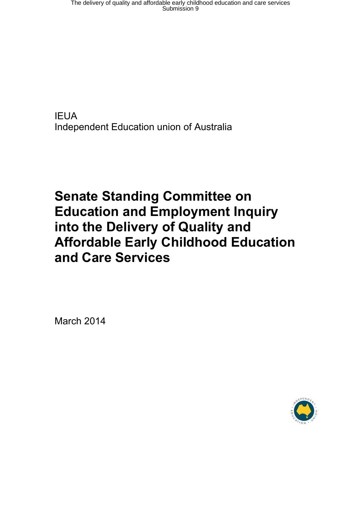**IEUA** Independent Education union of Australia

# **Senate Standing Committee on Education and Employment Inquiry into the Delivery of Quality and Affordable Early Childhood Education and Care Services**

March 2014

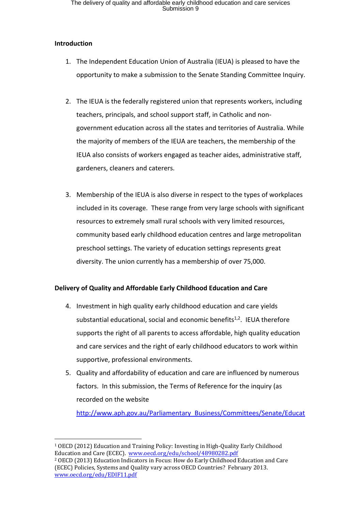### **Introduction**

- 1. The Independent Education Union of Australia (IEUA) is pleased to have the opportunity to make a submission to the Senate Standing Committee Inquiry.
- 2. The IEUA is the federally registered union that represents workers, including teachers, principals, and school support staff, in Catholic and nongovernment education across all the states and territories of Australia. While the majority of members of the IEUA are teachers, the membership of the IEUA also consists of workers engaged as teacher aides, administrative staff, gardeners, cleaners and caterers.
- 3. Membership of the IEUA is also diverse in respect to the types of workplaces included in its coverage. These range from very large schools with significant resources to extremely small rural schools with very limited resources, community based early childhood education centres and large metropolitan preschool settings. The variety of education settings represents great diversity. The union currently has a membership of over 75,000.

# **Delivery of Quality and Affordable Early Childhood Education and Care**

- 4. Investment in high quality early childhood education and care yields substantial educational, social and economic benefits<sup>1,2</sup>. IEUA therefore supports the right of all parents to access affordable, high quality education and care services and the right of early childhood educators to work within supportive, professional environments.
- 5. Quality and affordability of education and care are influenced by numerous factors. In this submission, the Terms of Reference for the inquiry (as recorded on the website

[http://www.aph.gov.au/Parliamentary\\_Business/Committees/Senate/Educat](http://www.aph.gov.au/Parliamentary_Business/Committees/Senate/Education_and_Employment/Affordable_early_childhood/Terms_of_Reference)

<sup>1</sup> OECD (2012) Education and Training Policy: Investing in High-Quality Early Childhood Education and Care (ECEC). [www.oecd.org/edu/school/48980282.pdf](http://www.oecd.org/edu/school/48980282.pdf)

<sup>2</sup> OECD (2013) Education Indicators in Focus: How do Early Childhood Education and Care (ECEC) Policies, Systems and Quality vary across OECD Countries? February 2013. [www.oecd.org/edu/EDIF11.pdf](http://www.oecd.org/edu/EDIF11.pdf)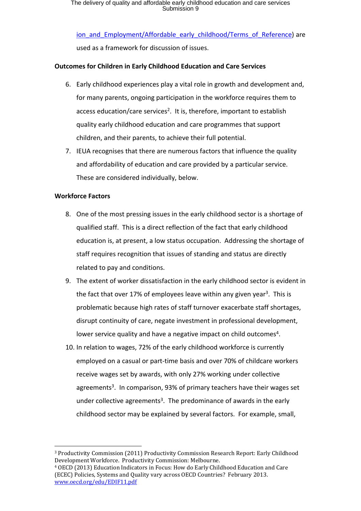ion and Employment/Affordable early childhood/Terms of Reference) are used as a framework for discussion of issues.

## **Outcomes for Children in Early Childhood Education and Care Services**

- 6. Early childhood experiences play a vital role in growth and development and, for many parents, ongoing participation in the workforce requires them to access education/care services<sup>2</sup>. It is, therefore, important to establish quality early childhood education and care programmes that support children, and their parents, to achieve their full potential.
- 7. IEUA recognises that there are numerous factors that influence the quality and affordability of education and care provided by a particular service. These are considered individually, below.

## **Workforce Factors**

- 8. One of the most pressing issues in the early childhood sector is a shortage of qualified staff. This is a direct reflection of the fact that early childhood education is, at present, a low status occupation. Addressing the shortage of staff requires recognition that issues of standing and status are directly related to pay and conditions.
- 9. The extent of worker dissatisfaction in the early childhood sector is evident in the fact that over 17% of employees leave within any given year<sup>3</sup>. This is problematic because high rates of staff turnover exacerbate staff shortages, disrupt continuity of care, negate investment in professional development, lower service quality and have a negative impact on child outcomes<sup>4</sup>.
- 10. In relation to wages, 72% of the early childhood workforce is currently employed on a casual or part-time basis and over 70% of childcare workers receive wages set by awards, with only 27% working under collective agreements<sup>3</sup>. In comparison, 93% of primary teachers have their wages set under collective agreements<sup>3</sup>. The predominance of awards in the early childhood sector may be explained by several factors. For example, small,

<sup>3</sup> Productivity Commission (2011) Productivity Commission Research Report: Early Childhood Development Workforce. Productivity Commission: Melbourne.

<sup>4</sup> OECD (2013) Education Indicators in Focus: How do Early Childhood Education and Care (ECEC) Policies, Systems and Quality vary across OECD Countries? February 2013. [www.oecd.org/edu/EDIF11.pdf](http://www.oecd.org/edu/EDIF11.pdf)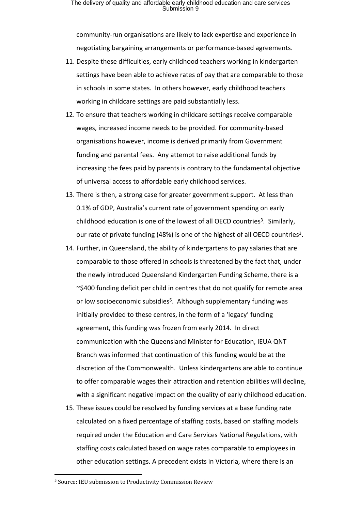community-run organisations are likely to lack expertise and experience in negotiating bargaining arrangements or performance-based agreements.

- 11. Despite these difficulties, early childhood teachers working in kindergarten settings have been able to achieve rates of pay that are comparable to those in schools in some states. In others however, early childhood teachers working in childcare settings are paid substantially less.
- 12. To ensure that teachers working in childcare settings receive comparable wages, increased income needs to be provided. For community-based organisations however, income is derived primarily from Government funding and parental fees. Any attempt to raise additional funds by increasing the fees paid by parents is contrary to the fundamental objective of universal access to affordable early childhood services.
- 13. There is then, a strong case for greater government support. At less than 0.1% of GDP, Australia's current rate of government spending on early childhood education is one of the lowest of all OECD countries<sup>3</sup>. Similarly, our rate of private funding (48%) is one of the highest of all OECD countries<sup>3</sup>.
- 14. Further, in Queensland, the ability of kindergartens to pay salaries that are comparable to those offered in schools is threatened by the fact that, under the newly introduced Queensland Kindergarten Funding Scheme, there is a ~\$400 funding deficit per child in centres that do not qualify for remote area or low socioeconomic subsidies<sup>5</sup>. Although supplementary funding was initially provided to these centres, in the form of a 'legacy' funding agreement, this funding was frozen from early 2014. In direct communication with the Queensland Minister for Education, IEUA QNT Branch was informed that continuation of this funding would be at the discretion of the Commonwealth. Unless kindergartens are able to continue to offer comparable wages their attraction and retention abilities will decline, with a significant negative impact on the quality of early childhood education.
- 15. These issues could be resolved by funding services at a base funding rate calculated on a fixed percentage of staffing costs, based on staffing models required under the Education and Care Services National Regulations, with staffing costs calculated based on wage rates comparable to employees in other education settings. A precedent exists in Victoria, where there is an

<sup>5</sup> Source: IEU submission to Productivity Commission Review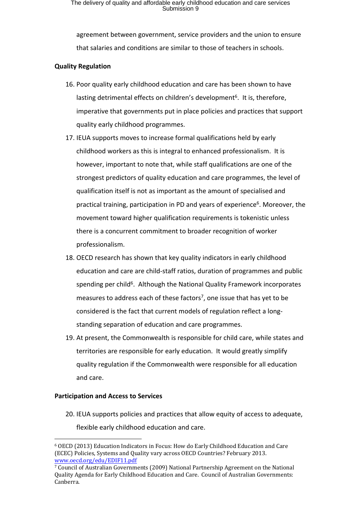agreement between government, service providers and the union to ensure that salaries and conditions are similar to those of teachers in schools.

## **Quality Regulation**

- 16. Poor quality early childhood education and care has been shown to have lasting detrimental effects on children's development<sup>6</sup>. It is, therefore, imperative that governments put in place policies and practices that support quality early childhood programmes.
- 17. IEUA supports moves to increase formal qualifications held by early childhood workers as this is integral to enhanced professionalism. It is however, important to note that, while staff qualifications are one of the strongest predictors of quality education and care programmes, the level of qualification itself is not as important as the amount of specialised and practical training, participation in PD and years of experience<sup>6</sup>. Moreover, the movement toward higher qualification requirements is tokenistic unless there is a concurrent commitment to broader recognition of worker professionalism.
- 18. OECD research has shown that key quality indicators in early childhood education and care are child-staff ratios, duration of programmes and public spending per child<sup>6</sup>. Although the National Quality Framework incorporates measures to address each of these factors<sup>7</sup>, one issue that has yet to be considered is the fact that current models of regulation reflect a longstanding separation of education and care programmes.
- 19. At present, the Commonwealth is responsible for child care, while states and territories are responsible for early education. It would greatly simplify quality regulation if the Commonwealth were responsible for all education and care.

## **Participation and Access to Services**

20. IEUA supports policies and practices that allow equity of access to adequate, flexible early childhood education and care.

<sup>6</sup> OECD (2013) Education Indicators in Focus: How do Early Childhood Education and Care (ECEC) Policies, Systems and Quality vary across OECD Countries? February 2013. [www.oecd.org/edu/EDIF11.pdf](http://www.oecd.org/edu/EDIF11.pdf)

<sup>7</sup> Council of Australian Governments (2009) National Partnership Agreement on the National Quality Agenda for Early Childhood Education and Care. Council of Australian Governments: Canberra.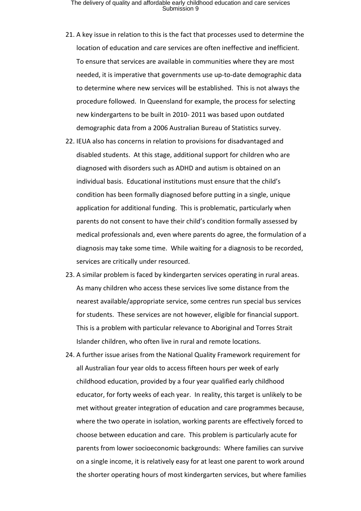- 21. A key issue in relation to this is the fact that processes used to determine the location of education and care services are often ineffective and inefficient. To ensure that services are available in communities where they are most needed, it is imperative that governments use up-to-date demographic data to determine where new services will be established. This is not always the procedure followed. In Queensland for example, the process for selecting new kindergartens to be built in 2010- 2011 was based upon outdated demographic data from a 2006 Australian Bureau of Statistics survey.
- 22. IEUA also has concerns in relation to provisions for disadvantaged and disabled students. At this stage, additional support for children who are diagnosed with disorders such as ADHD and autism is obtained on an individual basis. Educational institutions must ensure that the child's condition has been formally diagnosed before putting in a single, unique application for additional funding. This is problematic, particularly when parents do not consent to have their child's condition formally assessed by medical professionals and, even where parents do agree, the formulation of a diagnosis may take some time. While waiting for a diagnosis to be recorded, services are critically under resourced.
- 23. A similar problem is faced by kindergarten services operating in rural areas. As many children who access these services live some distance from the nearest available/appropriate service, some centres run special bus services for students. These services are not however, eligible for financial support. This is a problem with particular relevance to Aboriginal and Torres Strait Islander children, who often live in rural and remote locations.
- 24. A further issue arises from the National Quality Framework requirement for all Australian four year olds to access fifteen hours per week of early childhood education, provided by a four year qualified early childhood educator, for forty weeks of each year. In reality, this target is unlikely to be met without greater integration of education and care programmes because, where the two operate in isolation, working parents are effectively forced to choose between education and care. This problem is particularly acute for parents from lower socioeconomic backgrounds: Where families can survive on a single income, it is relatively easy for at least one parent to work around the shorter operating hours of most kindergarten services, but where families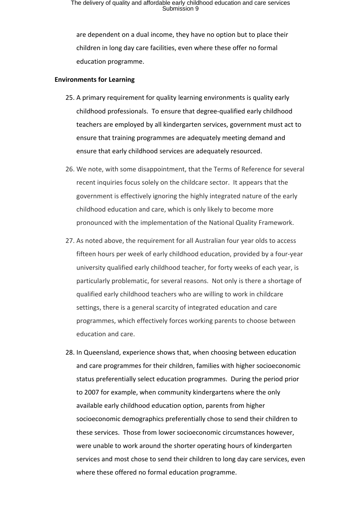are dependent on a dual income, they have no option but to place their children in long day care facilities, even where these offer no formal education programme.

#### **Environments for Learning**

- 25. A primary requirement for quality learning environments is quality early childhood professionals. To ensure that degree-qualified early childhood teachers are employed by all kindergarten services, government must act to ensure that training programmes are adequately meeting demand and ensure that early childhood services are adequately resourced.
- 26. We note, with some disappointment, that the Terms of Reference for several recent inquiries focus solely on the childcare sector. It appears that the government is effectively ignoring the highly integrated nature of the early childhood education and care, which is only likely to become more pronounced with the implementation of the National Quality Framework.
- 27. As noted above, the requirement for all Australian four year olds to access fifteen hours per week of early childhood education, provided by a four-year university qualified early childhood teacher, for forty weeks of each year, is particularly problematic, for several reasons. Not only is there a shortage of qualified early childhood teachers who are willing to work in childcare settings, there is a general scarcity of integrated education and care programmes, which effectively forces working parents to choose between education and care.
- 28. In Queensland, experience shows that, when choosing between education and care programmes for their children, families with higher socioeconomic status preferentially select education programmes. During the period prior to 2007 for example, when community kindergartens where the only available early childhood education option, parents from higher socioeconomic demographics preferentially chose to send their children to these services. Those from lower socioeconomic circumstances however, were unable to work around the shorter operating hours of kindergarten services and most chose to send their children to long day care services, even where these offered no formal education programme.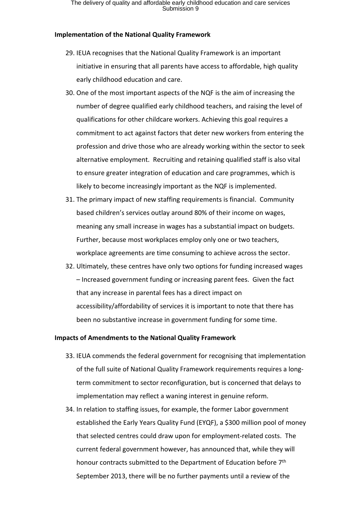#### **Implementation of the National Quality Framework**

- 29. IEUA recognises that the National Quality Framework is an important initiative in ensuring that all parents have access to affordable, high quality early childhood education and care.
- 30. One of the most important aspects of the NQF is the aim of increasing the number of degree qualified early childhood teachers, and raising the level of qualifications for other childcare workers. Achieving this goal requires a commitment to act against factors that deter new workers from entering the profession and drive those who are already working within the sector to seek alternative employment. Recruiting and retaining qualified staff is also vital to ensure greater integration of education and care programmes, which is likely to become increasingly important as the NQF is implemented.
- 31. The primary impact of new staffing requirements is financial. Community based children's services outlay around 80% of their income on wages, meaning any small increase in wages has a substantial impact on budgets. Further, because most workplaces employ only one or two teachers, workplace agreements are time consuming to achieve across the sector.
- 32. Ultimately, these centres have only two options for funding increased wages – Increased government funding or increasing parent fees. Given the fact that any increase in parental fees has a direct impact on accessibility/affordability of services it is important to note that there has been no substantive increase in government funding for some time.

#### **Impacts of Amendments to the National Quality Framework**

- 33. IEUA commends the federal government for recognising that implementation of the full suite of National Quality Framework requirements requires a longterm commitment to sector reconfiguration, but is concerned that delays to implementation may reflect a waning interest in genuine reform.
- 34. In relation to staffing issues, for example, the former Labor government established the Early Years Quality Fund (EYQF), a \$300 million pool of money that selected centres could draw upon for employment-related costs. The current federal government however, has announced that, while they will honour contracts submitted to the Department of Education before 7<sup>th</sup> September 2013, there will be no further payments until a review of the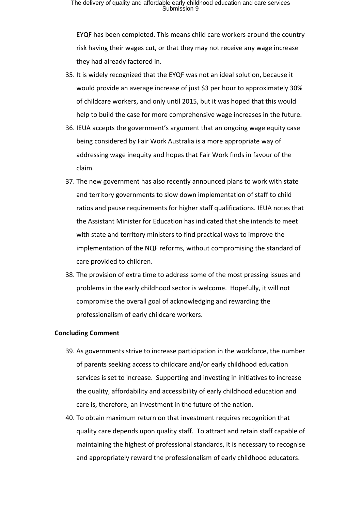EYQF has been completed. This means child care workers around the country risk having their wages cut, or that they may not receive any wage increase they had already factored in.

- 35. It is widely recognized that the EYQF was not an ideal solution, because it would provide an average increase of just \$3 per hour to approximately 30% of childcare workers, and only until 2015, but it was hoped that this would help to build the case for more comprehensive wage increases in the future.
- 36. IEUA accepts the government's argument that an ongoing wage equity case being considered by Fair Work Australia is a more appropriate way of addressing wage inequity and hopes that Fair Work finds in favour of the claim.
- 37. The new government has also recently announced plans to work with state and territory governments to slow down implementation of staff to child ratios and pause requirements for higher staff qualifications. IEUA notes that the Assistant Minister for Education has indicated that she intends to meet with state and territory ministers to find practical ways to improve the implementation of the NQF reforms, without compromising the standard of care provided to children.
- 38. The provision of extra time to address some of the most pressing issues and problems in the early childhood sector is welcome. Hopefully, it will not compromise the overall goal of acknowledging and rewarding the professionalism of early childcare workers.

#### **Concluding Comment**

- 39. As governments strive to increase participation in the workforce, the number of parents seeking access to childcare and/or early childhood education services is set to increase. Supporting and investing in initiatives to increase the quality, affordability and accessibility of early childhood education and care is, therefore, an investment in the future of the nation.
- 40. To obtain maximum return on that investment requires recognition that quality care depends upon quality staff. To attract and retain staff capable of maintaining the highest of professional standards, it is necessary to recognise and appropriately reward the professionalism of early childhood educators.